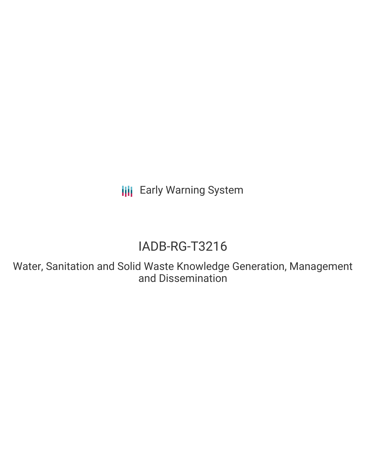**III** Early Warning System

# IADB-RG-T3216

Water, Sanitation and Solid Waste Knowledge Generation, Management and Dissemination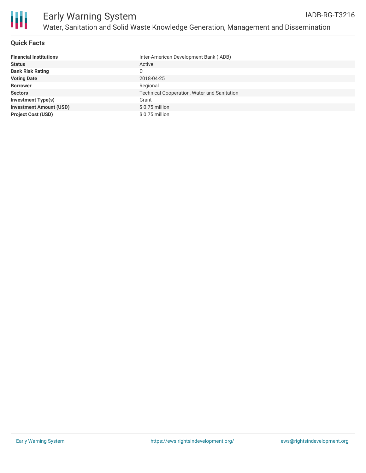

## **Quick Facts**

| <b>Financial Institutions</b>  | Inter-American Development Bank (IADB)      |
|--------------------------------|---------------------------------------------|
| <b>Status</b>                  | Active                                      |
| <b>Bank Risk Rating</b>        | С                                           |
| <b>Voting Date</b>             | 2018-04-25                                  |
| <b>Borrower</b>                | Regional                                    |
| <b>Sectors</b>                 | Technical Cooperation, Water and Sanitation |
| Investment Type(s)             | Grant                                       |
| <b>Investment Amount (USD)</b> | \$0.75 million                              |
| <b>Project Cost (USD)</b>      | $$0.75$ million                             |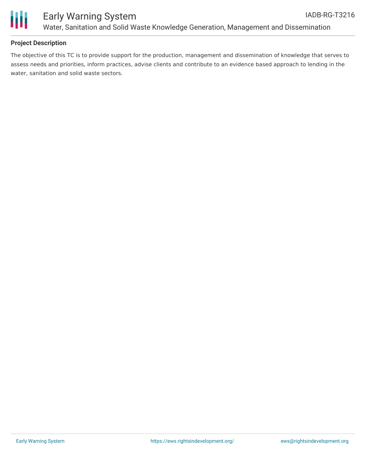

# **Project Description**

The objective of this TC is to provide support for the production, management and dissemination of knowledge that serves to assess needs and priorities, inform practices, advise clients and contribute to an evidence based approach to lending in the water, sanitation and solid waste sectors.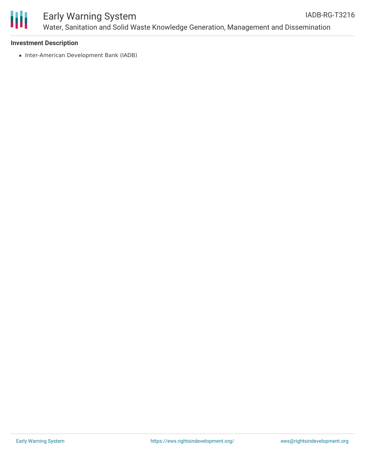

### **Investment Description**

• Inter-American Development Bank (IADB)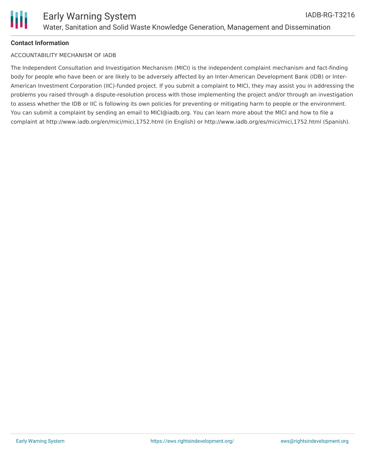

# **Contact Information**

### ACCOUNTABILITY MECHANISM OF IADB

The Independent Consultation and Investigation Mechanism (MICI) is the independent complaint mechanism and fact-finding body for people who have been or are likely to be adversely affected by an Inter-American Development Bank (IDB) or Inter-American Investment Corporation (IIC)-funded project. If you submit a complaint to MICI, they may assist you in addressing the problems you raised through a dispute-resolution process with those implementing the project and/or through an investigation to assess whether the IDB or IIC is following its own policies for preventing or mitigating harm to people or the environment. You can submit a complaint by sending an email to MICI@iadb.org. You can learn more about the MICI and how to file a complaint at http://www.iadb.org/en/mici/mici,1752.html (in English) or http://www.iadb.org/es/mici/mici,1752.html (Spanish).